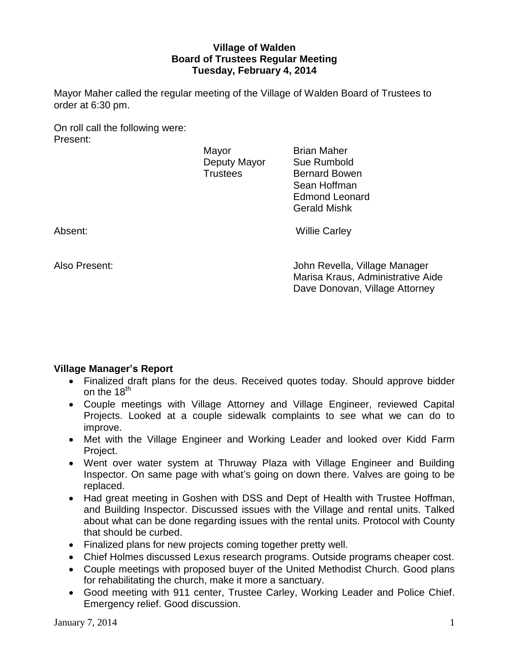## **Village of Walden Board of Trustees Regular Meeting Tuesday, February 4, 2014**

Mayor Maher called the regular meeting of the Village of Walden Board of Trustees to order at 6:30 pm.

On roll call the following were: Present:

Mayor **Brian Maher** Deputy Mayor Sue Rumbold

Trustees Bernard Bowen Sean Hoffman Edmond Leonard Gerald Mishk

Absent: Willie Carley

Also Present: John Revella, Village Manager Marisa Kraus, Administrative Aide Dave Donovan, Village Attorney

# **Village Manager's Report**

- Finalized draft plans for the deus. Received quotes today. Should approve bidder on the  $18<sup>th</sup>$
- Couple meetings with Village Attorney and Village Engineer, reviewed Capital Projects. Looked at a couple sidewalk complaints to see what we can do to improve.
- Met with the Village Engineer and Working Leader and looked over Kidd Farm Project.
- Went over water system at Thruway Plaza with Village Engineer and Building Inspector. On same page with what's going on down there. Valves are going to be replaced.
- Had great meeting in Goshen with DSS and Dept of Health with Trustee Hoffman, and Building Inspector. Discussed issues with the Village and rental units. Talked about what can be done regarding issues with the rental units. Protocol with County that should be curbed.
- Finalized plans for new projects coming together pretty well.
- Chief Holmes discussed Lexus research programs. Outside programs cheaper cost.
- Couple meetings with proposed buyer of the United Methodist Church. Good plans for rehabilitating the church, make it more a sanctuary.
- Good meeting with 911 center, Trustee Carley, Working Leader and Police Chief. Emergency relief. Good discussion.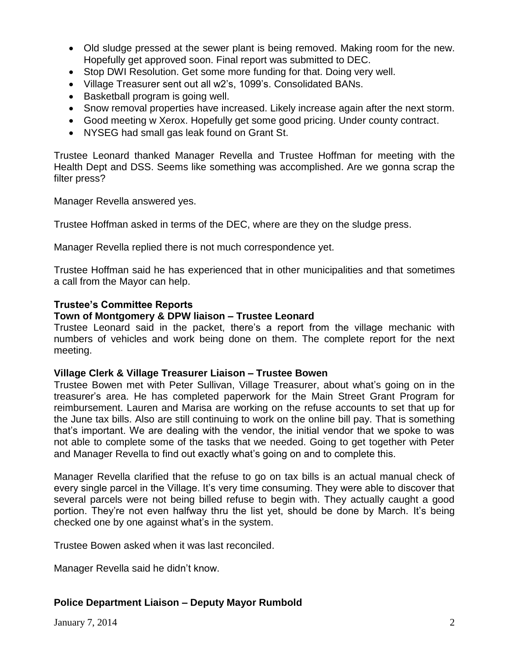- Old sludge pressed at the sewer plant is being removed. Making room for the new. Hopefully get approved soon. Final report was submitted to DEC.
- Stop DWI Resolution. Get some more funding for that. Doing very well.
- Village Treasurer sent out all w2's, 1099's. Consolidated BANs.
- Basketball program is going well.
- Snow removal properties have increased. Likely increase again after the next storm.
- Good meeting w Xerox. Hopefully get some good pricing. Under county contract.
- NYSEG had small gas leak found on Grant St.

Trustee Leonard thanked Manager Revella and Trustee Hoffman for meeting with the Health Dept and DSS. Seems like something was accomplished. Are we gonna scrap the filter press?

Manager Revella answered yes.

Trustee Hoffman asked in terms of the DEC, where are they on the sludge press.

Manager Revella replied there is not much correspondence yet.

Trustee Hoffman said he has experienced that in other municipalities and that sometimes a call from the Mayor can help.

### **Trustee's Committee Reports**

### **Town of Montgomery & DPW liaison – Trustee Leonard**

Trustee Leonard said in the packet, there's a report from the village mechanic with numbers of vehicles and work being done on them. The complete report for the next meeting.

### **Village Clerk & Village Treasurer Liaison – Trustee Bowen**

Trustee Bowen met with Peter Sullivan, Village Treasurer, about what's going on in the treasurer's area. He has completed paperwork for the Main Street Grant Program for reimbursement. Lauren and Marisa are working on the refuse accounts to set that up for the June tax bills. Also are still continuing to work on the online bill pay. That is something that's important. We are dealing with the vendor, the initial vendor that we spoke to was not able to complete some of the tasks that we needed. Going to get together with Peter and Manager Revella to find out exactly what's going on and to complete this.

Manager Revella clarified that the refuse to go on tax bills is an actual manual check of every single parcel in the Village. It's very time consuming. They were able to discover that several parcels were not being billed refuse to begin with. They actually caught a good portion. They're not even halfway thru the list yet, should be done by March. It's being checked one by one against what's in the system.

Trustee Bowen asked when it was last reconciled.

Manager Revella said he didn't know.

## **Police Department Liaison – Deputy Mayor Rumbold**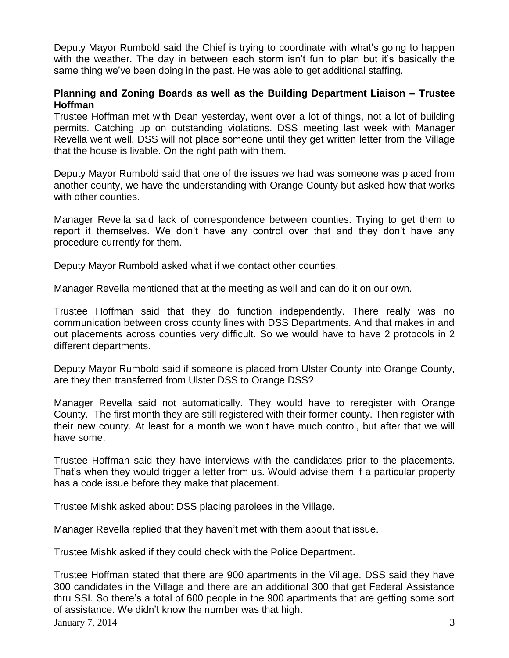Deputy Mayor Rumbold said the Chief is trying to coordinate with what's going to happen with the weather. The day in between each storm isn't fun to plan but it's basically the same thing we've been doing in the past. He was able to get additional staffing.

## **Planning and Zoning Boards as well as the Building Department Liaison – Trustee Hoffman**

Trustee Hoffman met with Dean yesterday, went over a lot of things, not a lot of building permits. Catching up on outstanding violations. DSS meeting last week with Manager Revella went well. DSS will not place someone until they get written letter from the Village that the house is livable. On the right path with them.

Deputy Mayor Rumbold said that one of the issues we had was someone was placed from another county, we have the understanding with Orange County but asked how that works with other counties.

Manager Revella said lack of correspondence between counties. Trying to get them to report it themselves. We don't have any control over that and they don't have any procedure currently for them.

Deputy Mayor Rumbold asked what if we contact other counties.

Manager Revella mentioned that at the meeting as well and can do it on our own.

Trustee Hoffman said that they do function independently. There really was no communication between cross county lines with DSS Departments. And that makes in and out placements across counties very difficult. So we would have to have 2 protocols in 2 different departments.

Deputy Mayor Rumbold said if someone is placed from Ulster County into Orange County, are they then transferred from Ulster DSS to Orange DSS?

Manager Revella said not automatically. They would have to reregister with Orange County. The first month they are still registered with their former county. Then register with their new county. At least for a month we won't have much control, but after that we will have some.

Trustee Hoffman said they have interviews with the candidates prior to the placements. That's when they would trigger a letter from us. Would advise them if a particular property has a code issue before they make that placement.

Trustee Mishk asked about DSS placing parolees in the Village.

Manager Revella replied that they haven't met with them about that issue.

Trustee Mishk asked if they could check with the Police Department.

January 7, 2014  $\overline{3}$ Trustee Hoffman stated that there are 900 apartments in the Village. DSS said they have 300 candidates in the Village and there are an additional 300 that get Federal Assistance thru SSI. So there's a total of 600 people in the 900 apartments that are getting some sort of assistance. We didn't know the number was that high.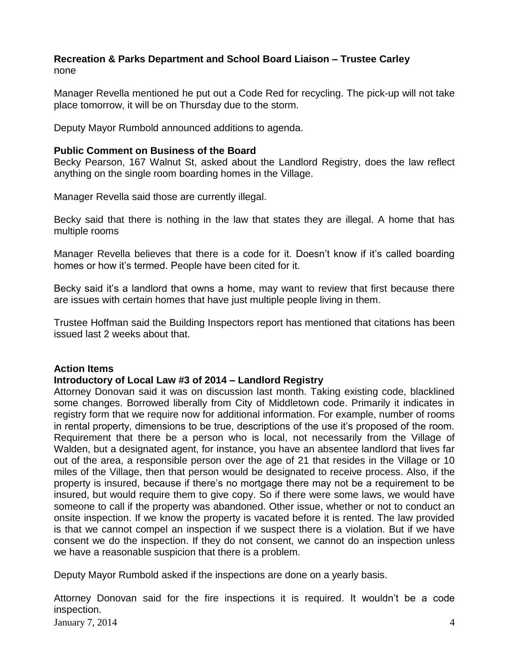### **Recreation & Parks Department and School Board Liaison – Trustee Carley** none

Manager Revella mentioned he put out a Code Red for recycling. The pick-up will not take place tomorrow, it will be on Thursday due to the storm.

Deputy Mayor Rumbold announced additions to agenda.

### **Public Comment on Business of the Board**

Becky Pearson, 167 Walnut St, asked about the Landlord Registry, does the law reflect anything on the single room boarding homes in the Village.

Manager Revella said those are currently illegal.

Becky said that there is nothing in the law that states they are illegal. A home that has multiple rooms

Manager Revella believes that there is a code for it. Doesn't know if it's called boarding homes or how it's termed. People have been cited for it.

Becky said it's a landlord that owns a home, may want to review that first because there are issues with certain homes that have just multiple people living in them.

Trustee Hoffman said the Building Inspectors report has mentioned that citations has been issued last 2 weeks about that.

## **Action Items**

## **Introductory of Local Law #3 of 2014 – Landlord Registry**

Attorney Donovan said it was on discussion last month. Taking existing code, blacklined some changes. Borrowed liberally from City of Middletown code. Primarily it indicates in registry form that we require now for additional information. For example, number of rooms in rental property, dimensions to be true, descriptions of the use it's proposed of the room. Requirement that there be a person who is local, not necessarily from the Village of Walden, but a designated agent, for instance, you have an absentee landlord that lives far out of the area, a responsible person over the age of 21 that resides in the Village or 10 miles of the Village, then that person would be designated to receive process. Also, if the property is insured, because if there's no mortgage there may not be a requirement to be insured, but would require them to give copy. So if there were some laws, we would have someone to call if the property was abandoned. Other issue, whether or not to conduct an onsite inspection. If we know the property is vacated before it is rented. The law provided is that we cannot compel an inspection if we suspect there is a violation. But if we have consent we do the inspection. If they do not consent, we cannot do an inspection unless we have a reasonable suspicion that there is a problem.

Deputy Mayor Rumbold asked if the inspections are done on a yearly basis.

Attorney Donovan said for the fire inspections it is required. It wouldn't be a code inspection.

January  $7, 2014$  4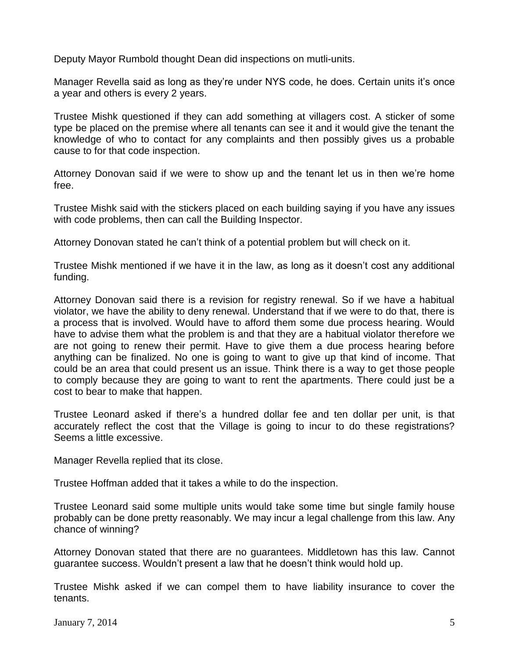Deputy Mayor Rumbold thought Dean did inspections on mutli-units.

Manager Revella said as long as they're under NYS code, he does. Certain units it's once a year and others is every 2 years.

Trustee Mishk questioned if they can add something at villagers cost. A sticker of some type be placed on the premise where all tenants can see it and it would give the tenant the knowledge of who to contact for any complaints and then possibly gives us a probable cause to for that code inspection.

Attorney Donovan said if we were to show up and the tenant let us in then we're home free.

Trustee Mishk said with the stickers placed on each building saying if you have any issues with code problems, then can call the Building Inspector.

Attorney Donovan stated he can't think of a potential problem but will check on it.

Trustee Mishk mentioned if we have it in the law, as long as it doesn't cost any additional funding.

Attorney Donovan said there is a revision for registry renewal. So if we have a habitual violator, we have the ability to deny renewal. Understand that if we were to do that, there is a process that is involved. Would have to afford them some due process hearing. Would have to advise them what the problem is and that they are a habitual violator therefore we are not going to renew their permit. Have to give them a due process hearing before anything can be finalized. No one is going to want to give up that kind of income. That could be an area that could present us an issue. Think there is a way to get those people to comply because they are going to want to rent the apartments. There could just be a cost to bear to make that happen.

Trustee Leonard asked if there's a hundred dollar fee and ten dollar per unit, is that accurately reflect the cost that the Village is going to incur to do these registrations? Seems a little excessive.

Manager Revella replied that its close.

Trustee Hoffman added that it takes a while to do the inspection.

Trustee Leonard said some multiple units would take some time but single family house probably can be done pretty reasonably. We may incur a legal challenge from this law. Any chance of winning?

Attorney Donovan stated that there are no guarantees. Middletown has this law. Cannot guarantee success. Wouldn't present a law that he doesn't think would hold up.

Trustee Mishk asked if we can compel them to have liability insurance to cover the tenants.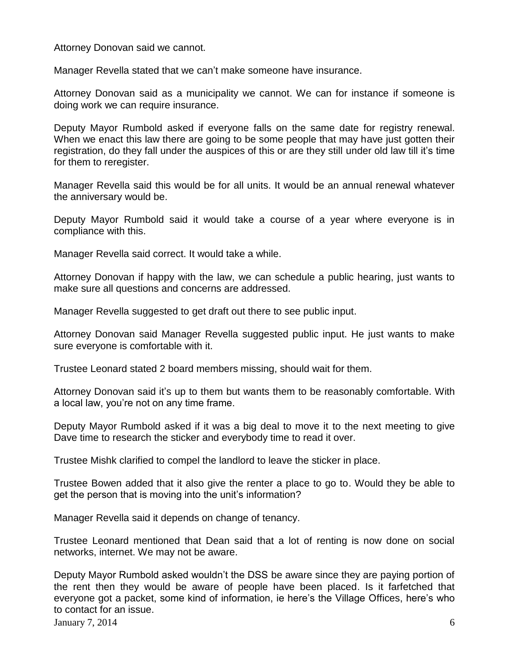Attorney Donovan said we cannot.

Manager Revella stated that we can't make someone have insurance.

Attorney Donovan said as a municipality we cannot. We can for instance if someone is doing work we can require insurance.

Deputy Mayor Rumbold asked if everyone falls on the same date for registry renewal. When we enact this law there are going to be some people that may have just gotten their registration, do they fall under the auspices of this or are they still under old law till it's time for them to reregister.

Manager Revella said this would be for all units. It would be an annual renewal whatever the anniversary would be.

Deputy Mayor Rumbold said it would take a course of a year where everyone is in compliance with this.

Manager Revella said correct. It would take a while.

Attorney Donovan if happy with the law, we can schedule a public hearing, just wants to make sure all questions and concerns are addressed.

Manager Revella suggested to get draft out there to see public input.

Attorney Donovan said Manager Revella suggested public input. He just wants to make sure everyone is comfortable with it.

Trustee Leonard stated 2 board members missing, should wait for them.

Attorney Donovan said it's up to them but wants them to be reasonably comfortable. With a local law, you're not on any time frame.

Deputy Mayor Rumbold asked if it was a big deal to move it to the next meeting to give Dave time to research the sticker and everybody time to read it over.

Trustee Mishk clarified to compel the landlord to leave the sticker in place.

Trustee Bowen added that it also give the renter a place to go to. Would they be able to get the person that is moving into the unit's information?

Manager Revella said it depends on change of tenancy.

Trustee Leonard mentioned that Dean said that a lot of renting is now done on social networks, internet. We may not be aware.

Deputy Mayor Rumbold asked wouldn't the DSS be aware since they are paying portion of the rent then they would be aware of people have been placed. Is it farfetched that everyone got a packet, some kind of information, ie here's the Village Offices, here's who to contact for an issue.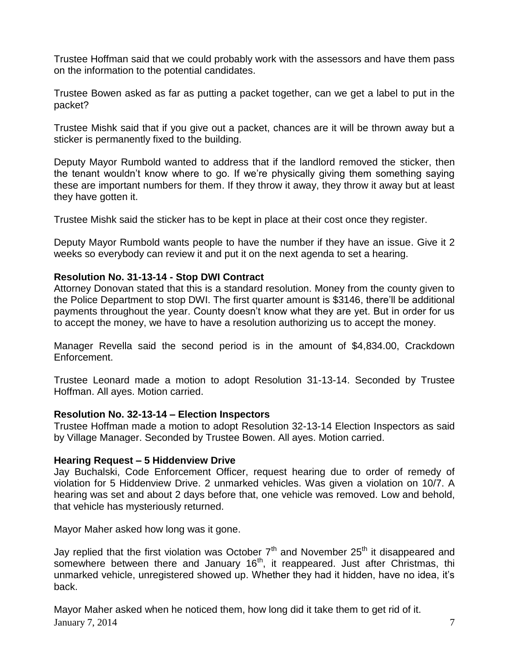Trustee Hoffman said that we could probably work with the assessors and have them pass on the information to the potential candidates.

Trustee Bowen asked as far as putting a packet together, can we get a label to put in the packet?

Trustee Mishk said that if you give out a packet, chances are it will be thrown away but a sticker is permanently fixed to the building.

Deputy Mayor Rumbold wanted to address that if the landlord removed the sticker, then the tenant wouldn't know where to go. If we're physically giving them something saying these are important numbers for them. If they throw it away, they throw it away but at least they have gotten it.

Trustee Mishk said the sticker has to be kept in place at their cost once they register.

Deputy Mayor Rumbold wants people to have the number if they have an issue. Give it 2 weeks so everybody can review it and put it on the next agenda to set a hearing.

## **Resolution No. 31-13-14 - Stop DWI Contract**

Attorney Donovan stated that this is a standard resolution. Money from the county given to the Police Department to stop DWI. The first quarter amount is \$3146, there'll be additional payments throughout the year. County doesn't know what they are yet. But in order for us to accept the money, we have to have a resolution authorizing us to accept the money.

Manager Revella said the second period is in the amount of \$4,834.00, Crackdown Enforcement.

Trustee Leonard made a motion to adopt Resolution 31-13-14. Seconded by Trustee Hoffman. All ayes. Motion carried.

## **Resolution No. 32-13-14 – Election Inspectors**

Trustee Hoffman made a motion to adopt Resolution 32-13-14 Election Inspectors as said by Village Manager. Seconded by Trustee Bowen. All ayes. Motion carried.

## **Hearing Request – 5 Hiddenview Drive**

Jay Buchalski, Code Enforcement Officer, request hearing due to order of remedy of violation for 5 Hiddenview Drive. 2 unmarked vehicles. Was given a violation on 10/7. A hearing was set and about 2 days before that, one vehicle was removed. Low and behold, that vehicle has mysteriously returned.

Mayor Maher asked how long was it gone.

Jay replied that the first violation was October  $7<sup>th</sup>$  and November 25<sup>th</sup> it disappeared and somewhere between there and January  $16<sup>th</sup>$ , it reappeared. Just after Christmas, thi unmarked vehicle, unregistered showed up. Whether they had it hidden, have no idea, it's back.

 $J_{\text{anuary}}$  7, 2014  $\qquad \qquad$  7 Mayor Maher asked when he noticed them, how long did it take them to get rid of it.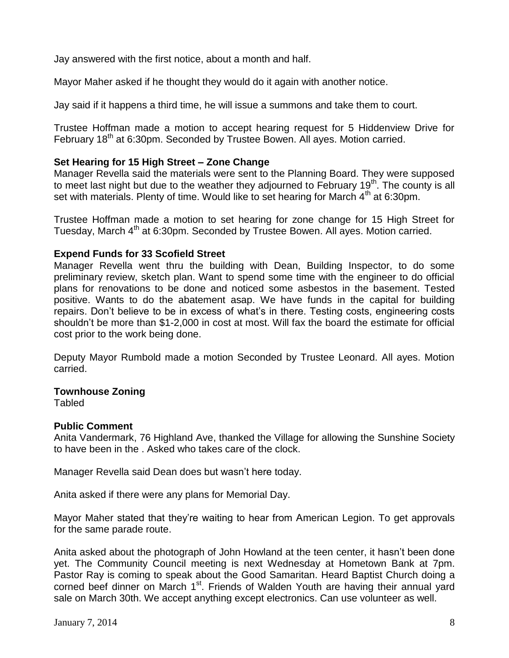Jay answered with the first notice, about a month and half.

Mayor Maher asked if he thought they would do it again with another notice.

Jay said if it happens a third time, he will issue a summons and take them to court.

Trustee Hoffman made a motion to accept hearing request for 5 Hiddenview Drive for February 18<sup>th</sup> at 6:30pm. Seconded by Trustee Bowen. All ayes. Motion carried.

### **Set Hearing for 15 High Street – Zone Change**

Manager Revella said the materials were sent to the Planning Board. They were supposed to meet last night but due to the weather they adjourned to February 19<sup>th</sup>. The county is all set with materials. Plenty of time. Would like to set hearing for March  $4<sup>th</sup>$  at 6:30pm.

Trustee Hoffman made a motion to set hearing for zone change for 15 High Street for Tuesday, March 4<sup>th</sup> at 6:30pm. Seconded by Trustee Bowen. All ayes. Motion carried.

### **Expend Funds for 33 Scofield Street**

Manager Revella went thru the building with Dean, Building Inspector, to do some preliminary review, sketch plan. Want to spend some time with the engineer to do official plans for renovations to be done and noticed some asbestos in the basement. Tested positive. Wants to do the abatement asap. We have funds in the capital for building repairs. Don't believe to be in excess of what's in there. Testing costs, engineering costs shouldn't be more than \$1-2,000 in cost at most. Will fax the board the estimate for official cost prior to the work being done.

Deputy Mayor Rumbold made a motion Seconded by Trustee Leonard. All ayes. Motion carried.

### **Townhouse Zoning**

**Tabled** 

### **Public Comment**

Anita Vandermark, 76 Highland Ave, thanked the Village for allowing the Sunshine Society to have been in the . Asked who takes care of the clock.

Manager Revella said Dean does but wasn't here today.

Anita asked if there were any plans for Memorial Day.

Mayor Maher stated that they're waiting to hear from American Legion. To get approvals for the same parade route.

Anita asked about the photograph of John Howland at the teen center, it hasn't been done yet. The Community Council meeting is next Wednesday at Hometown Bank at 7pm. Pastor Ray is coming to speak about the Good Samaritan. Heard Baptist Church doing a corned beef dinner on March 1<sup>st</sup>. Friends of Walden Youth are having their annual yard sale on March 30th. We accept anything except electronics. Can use volunteer as well.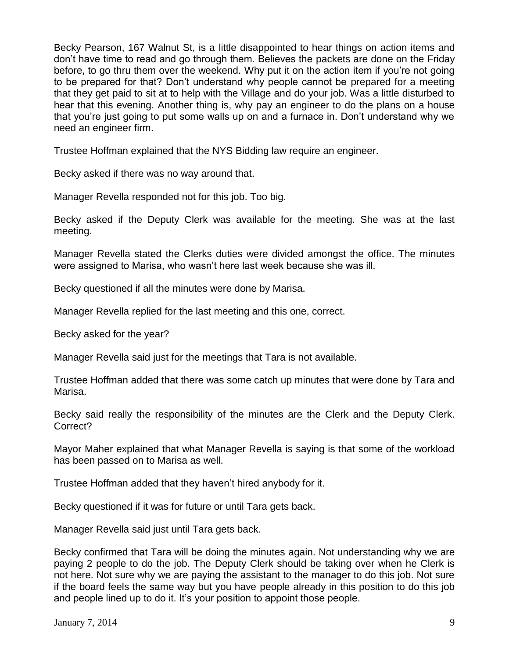Becky Pearson, 167 Walnut St, is a little disappointed to hear things on action items and don't have time to read and go through them. Believes the packets are done on the Friday before, to go thru them over the weekend. Why put it on the action item if you're not going to be prepared for that? Don't understand why people cannot be prepared for a meeting that they get paid to sit at to help with the Village and do your job. Was a little disturbed to hear that this evening. Another thing is, why pay an engineer to do the plans on a house that you're just going to put some walls up on and a furnace in. Don't understand why we need an engineer firm.

Trustee Hoffman explained that the NYS Bidding law require an engineer.

Becky asked if there was no way around that.

Manager Revella responded not for this job. Too big.

Becky asked if the Deputy Clerk was available for the meeting. She was at the last meeting.

Manager Revella stated the Clerks duties were divided amongst the office. The minutes were assigned to Marisa, who wasn't here last week because she was ill.

Becky questioned if all the minutes were done by Marisa.

Manager Revella replied for the last meeting and this one, correct.

Becky asked for the year?

Manager Revella said just for the meetings that Tara is not available.

Trustee Hoffman added that there was some catch up minutes that were done by Tara and Marisa.

Becky said really the responsibility of the minutes are the Clerk and the Deputy Clerk. Correct?

Mayor Maher explained that what Manager Revella is saying is that some of the workload has been passed on to Marisa as well.

Trustee Hoffman added that they haven't hired anybody for it.

Becky questioned if it was for future or until Tara gets back.

Manager Revella said just until Tara gets back.

Becky confirmed that Tara will be doing the minutes again. Not understanding why we are paying 2 people to do the job. The Deputy Clerk should be taking over when he Clerk is not here. Not sure why we are paying the assistant to the manager to do this job. Not sure if the board feels the same way but you have people already in this position to do this job and people lined up to do it. It's your position to appoint those people.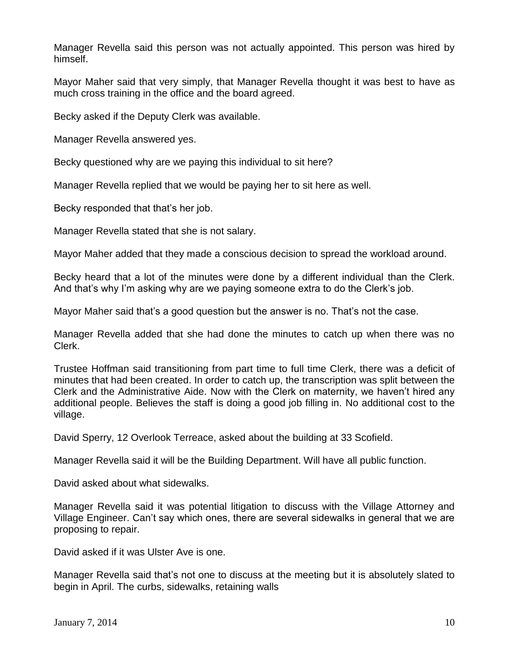Manager Revella said this person was not actually appointed. This person was hired by himself.

Mayor Maher said that very simply, that Manager Revella thought it was best to have as much cross training in the office and the board agreed.

Becky asked if the Deputy Clerk was available.

Manager Revella answered yes.

Becky questioned why are we paying this individual to sit here?

Manager Revella replied that we would be paying her to sit here as well.

Becky responded that that's her job.

Manager Revella stated that she is not salary.

Mayor Maher added that they made a conscious decision to spread the workload around.

Becky heard that a lot of the minutes were done by a different individual than the Clerk. And that's why I'm asking why are we paying someone extra to do the Clerk's job.

Mayor Maher said that's a good question but the answer is no. That's not the case.

Manager Revella added that she had done the minutes to catch up when there was no Clerk.

Trustee Hoffman said transitioning from part time to full time Clerk, there was a deficit of minutes that had been created. In order to catch up, the transcription was split between the Clerk and the Administrative Aide. Now with the Clerk on maternity, we haven't hired any additional people. Believes the staff is doing a good job filling in. No additional cost to the village.

David Sperry, 12 Overlook Terreace, asked about the building at 33 Scofield.

Manager Revella said it will be the Building Department. Will have all public function.

David asked about what sidewalks.

Manager Revella said it was potential litigation to discuss with the Village Attorney and Village Engineer. Can't say which ones, there are several sidewalks in general that we are proposing to repair.

David asked if it was Ulster Ave is one.

Manager Revella said that's not one to discuss at the meeting but it is absolutely slated to begin in April. The curbs, sidewalks, retaining walls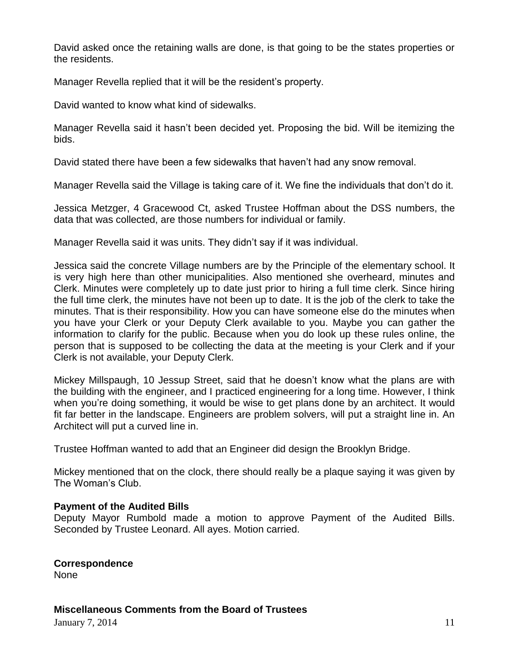David asked once the retaining walls are done, is that going to be the states properties or the residents.

Manager Revella replied that it will be the resident's property.

David wanted to know what kind of sidewalks.

Manager Revella said it hasn't been decided yet. Proposing the bid. Will be itemizing the bids.

David stated there have been a few sidewalks that haven't had any snow removal.

Manager Revella said the Village is taking care of it. We fine the individuals that don't do it.

Jessica Metzger, 4 Gracewood Ct, asked Trustee Hoffman about the DSS numbers, the data that was collected, are those numbers for individual or family.

Manager Revella said it was units. They didn't say if it was individual.

Jessica said the concrete Village numbers are by the Principle of the elementary school. It is very high here than other municipalities. Also mentioned she overheard, minutes and Clerk. Minutes were completely up to date just prior to hiring a full time clerk. Since hiring the full time clerk, the minutes have not been up to date. It is the job of the clerk to take the minutes. That is their responsibility. How you can have someone else do the minutes when you have your Clerk or your Deputy Clerk available to you. Maybe you can gather the information to clarify for the public. Because when you do look up these rules online, the person that is supposed to be collecting the data at the meeting is your Clerk and if your Clerk is not available, your Deputy Clerk.

Mickey Millspaugh, 10 Jessup Street, said that he doesn't know what the plans are with the building with the engineer, and I practiced engineering for a long time. However, I think when you're doing something, it would be wise to get plans done by an architect. It would fit far better in the landscape. Engineers are problem solvers, will put a straight line in. An Architect will put a curved line in.

Trustee Hoffman wanted to add that an Engineer did design the Brooklyn Bridge.

Mickey mentioned that on the clock, there should really be a plaque saying it was given by The Woman's Club.

## **Payment of the Audited Bills**

Deputy Mayor Rumbold made a motion to approve Payment of the Audited Bills. Seconded by Trustee Leonard. All ayes. Motion carried.

#### **Correspondence** None

**Miscellaneous Comments from the Board of Trustees**

 $January 7, 2014$  11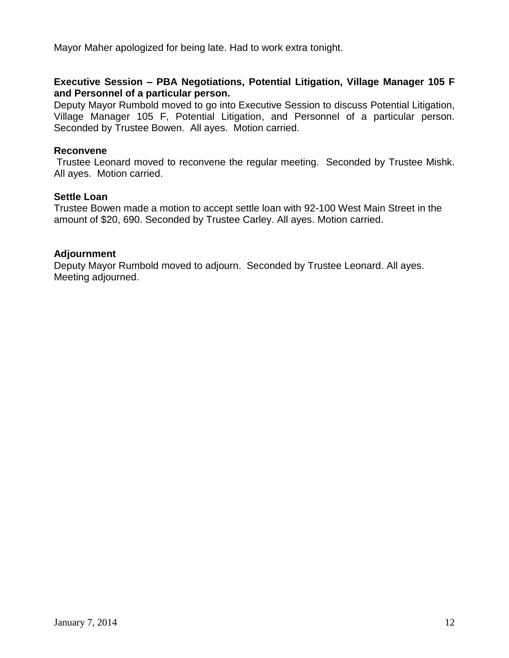Mayor Maher apologized for being late. Had to work extra tonight.

## **Executive Session – PBA Negotiations, Potential Litigation, Village Manager 105 F and Personnel of a particular person.**

Deputy Mayor Rumbold moved to go into Executive Session to discuss Potential Litigation, Village Manager 105 F, Potential Litigation, and Personnel of a particular person. Seconded by Trustee Bowen. All ayes. Motion carried.

### **Reconvene**

Trustee Leonard moved to reconvene the regular meeting. Seconded by Trustee Mishk. All ayes. Motion carried.

### **Settle Loan**

Trustee Bowen made a motion to accept settle loan with 92-100 West Main Street in the amount of \$20, 690. Seconded by Trustee Carley. All ayes. Motion carried.

### **Adjournment**

Deputy Mayor Rumbold moved to adjourn. Seconded by Trustee Leonard. All ayes. Meeting adjourned.